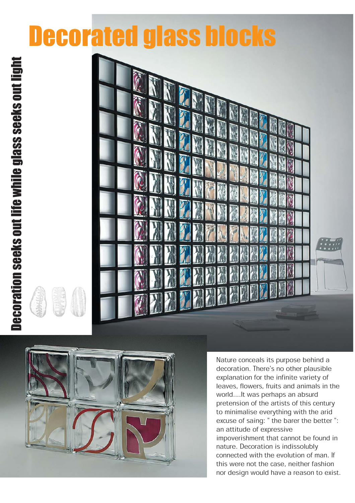## Decorated glass blocks





Nature conceals its purpose behind a decoration. There's no other plausible explanation for the infinite variety of leaves, flowers, fruits and animals in the world....It was perhaps an absurd pretension of the artists of this century to minimalise everything with the arid excuse of saing: " the barer the better ": an attitude of expressive impoverishment that cannot be found in nature. Decoration is indissolubly connected with the evolution of man. If this were not the case, neither fashion nor design would have a reason to exist.